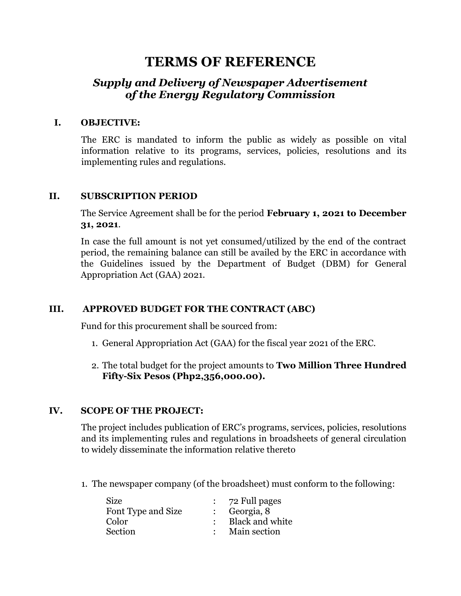# **TERMS OF REFERENCE**

## *Supply and Delivery of Newspaper Advertisement of the Energy Regulatory Commission*

#### **I. OBJECTIVE:**

The ERC is mandated to inform the public as widely as possible on vital information relative to its programs, services, policies, resolutions and its implementing rules and regulations.

#### **II. SUBSCRIPTION PERIOD**

The Service Agreement shall be for the period **February 1, 2021 to December 31, 2021**.

In case the full amount is not yet consumed/utilized by the end of the contract period, the remaining balance can still be availed by the ERC in accordance with the Guidelines issued by the Department of Budget (DBM) for General Appropriation Act (GAA) 2021.

## **III. APPROVED BUDGET FOR THE CONTRACT (ABC)**

Fund for this procurement shall be sourced from:

- 1. General Appropriation Act (GAA) for the fiscal year 2021 of the ERC.
- 2. The total budget for the project amounts to **Two Million Three Hundred Fifty-Six Pesos (Php2,356,000.00).**

## **IV. SCOPE OF THE PROJECT:**

The project includes publication of ERC's programs, services, policies, resolutions and its implementing rules and regulations in broadsheets of general circulation to widely disseminate the information relative thereto

1. The newspaper company (of the broadsheet) must conform to the following:

| Size               | $\therefore$ 72 Full pages |
|--------------------|----------------------------|
| Font Type and Size | $\therefore$ Georgia, 8    |
| Color              | Black and white            |
| Section            | Main section               |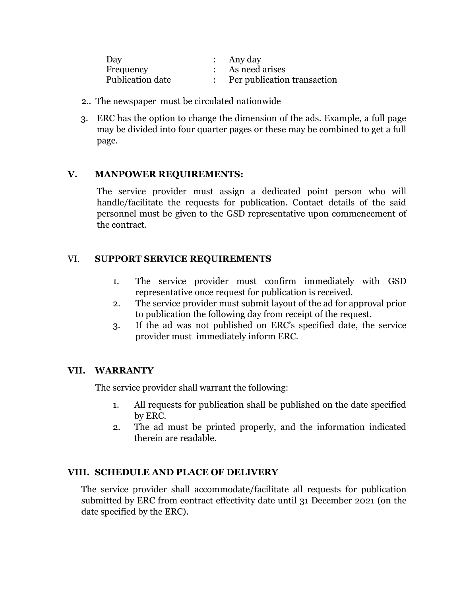| Day              | : Any day                   |
|------------------|-----------------------------|
| Frequency        | As need arises              |
| Publication date | Per publication transaction |

- 2.. The newspaper must be circulated nationwide
- 3. ERC has the option to change the dimension of the ads. Example, a full page may be divided into four quarter pages or these may be combined to get a full page.

## **V. MANPOWER REQUIREMENTS:**

The service provider must assign a dedicated point person who will handle/facilitate the requests for publication. Contact details of the said personnel must be given to the GSD representative upon commencement of the contract.

## VI. **SUPPORT SERVICE REQUIREMENTS**

- 1. The service provider must confirm immediately with GSD representative once request for publication is received.
- 2. The service provider must submit layout of the ad for approval prior to publication the following day from receipt of the request.
- 3. If the ad was not published on ERC's specified date, the service provider must immediately inform ERC.

## **VII. WARRANTY**

The service provider shall warrant the following:

- 1. All requests for publication shall be published on the date specified by ERC.
- 2. The ad must be printed properly, and the information indicated therein are readable.

## **VIII. SCHEDULE AND PLACE OF DELIVERY**

The service provider shall accommodate/facilitate all requests for publication submitted by ERC from contract effectivity date until 31 December 2021 (on the date specified by the ERC).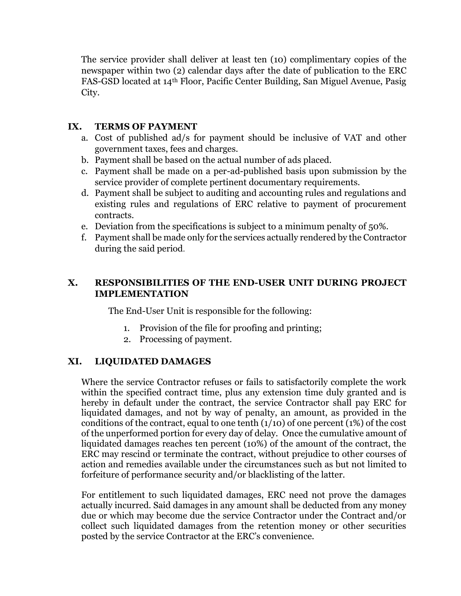The service provider shall deliver at least ten (10) complimentary copies of the newspaper within two (2) calendar days after the date of publication to the ERC FAS-GSD located at 14th Floor, Pacific Center Building, San Miguel Avenue, Pasig City.

## **IX. TERMS OF PAYMENT**

- a. Cost of published ad/s for payment should be inclusive of VAT and other government taxes, fees and charges.
- b. Payment shall be based on the actual number of ads placed.
- c. Payment shall be made on a per-ad-published basis upon submission by the service provider of complete pertinent documentary requirements.
- d. Payment shall be subject to auditing and accounting rules and regulations and existing rules and regulations of ERC relative to payment of procurement contracts.
- e. Deviation from the specifications is subject to a minimum penalty of 50%.
- f. Payment shall be made only for the services actually rendered by the Contractor during the said period.

## **X. RESPONSIBILITIES OF THE END-USER UNIT DURING PROJECT IMPLEMENTATION**

The End-User Unit is responsible for the following:

- 1. Provision of the file for proofing and printing;
- 2. Processing of payment.

#### **XI. LIQUIDATED DAMAGES**

Where the service Contractor refuses or fails to satisfactorily complete the work within the specified contract time, plus any extension time duly granted and is hereby in default under the contract, the service Contractor shall pay ERC for liquidated damages, and not by way of penalty, an amount, as provided in the conditions of the contract, equal to one tenth (1/10) of one percent (1%) of the cost of the unperformed portion for every day of delay. Once the cumulative amount of liquidated damages reaches ten percent (10%) of the amount of the contract, the ERC may rescind or terminate the contract, without prejudice to other courses of action and remedies available under the circumstances such as but not limited to forfeiture of performance security and/or blacklisting of the latter.

For entitlement to such liquidated damages, ERC need not prove the damages actually incurred. Said damages in any amount shall be deducted from any money due or which may become due the service Contractor under the Contract and/or collect such liquidated damages from the retention money or other securities posted by the service Contractor at the ERC's convenience.